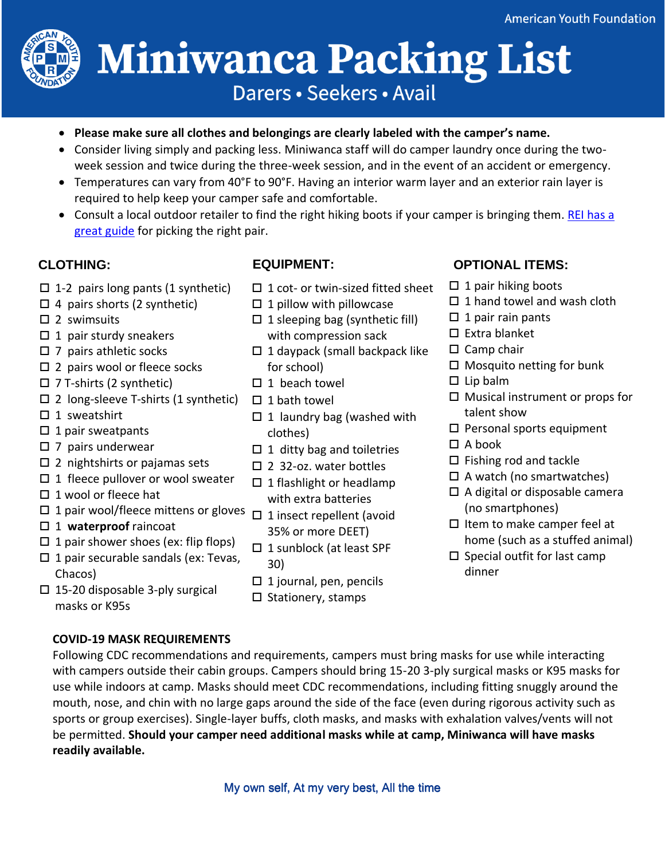

# **Miniwanca Packing List** Darers · Seekers · Avail

- **Please make sure all clothes and belongings are clearly labeled with the camper's name.**
- Consider living simply and packing less. Miniwanca staff will do camper laundry once during the twoweek session and twice during the three-week session, and in the event of an accident or emergency.
- Temperatures can vary from 40°F to 90°F. Having an interior warm layer and an exterior rain layer is required to help keep your camper safe and comfortable.
- Consult a local outdoor retailer to find the right hiking boots if your camper is bringing them. REI has a [great guide](https://www.rei.com/learn/expert-advice/hiking-boots.html) for picking the right pair.

- $\Box$  1-2 pairs long pants (1 synthetic)
- $\Box$  4 pairs shorts (2 synthetic)
- $\square$  2 swimsuits
- $\Box$  1 pair sturdy sneakers
- $\square$  7 pairs athletic socks
- $\square$  2 pairs wool or fleece socks
- $\square$  7 T-shirts (2 synthetic)
- $\square$  2 long-sleeve T-shirts (1 synthetic)
- $\Box$  1 sweatshirt
- $\Box$  1 pair sweatpants
- $\square$  7 pairs underwear
- $\square$  2 nightshirts or pajamas sets
- $\Box$  1 fleece pullover or wool sweater
- $\square$  1 wool or fleece hat
- $\Box$  1 pair wool/fleece mittens or gloves  $\Box$  1 insect repellent (avoid
- □ 1 **waterproof** raincoat
- $\Box$  1 pair shower shoes (ex: flip flops)
- $\Box$  1 pair securable sandals (ex: Tevas, Chacos)
- 
- $\Box$  1 cot- or twin-sized fitted sheet
- $\square$  1 pillow with pillowcase
- $\Box$  1 sleeping bag (synthetic fill) with compression sack
- $\Box$  1 daypack (small backpack like for school)
- $\Box$  1 beach towel
- $\square$  1 bath towel
- $\Box$  1 laundry bag (washed with clothes)
- $\Box$  1 ditty bag and toiletries
- □ 2 32-oz. water bottles
- $\Box$  1 flashlight or headlamp with extra batteries
- 35% or more DEET)
- □ 1 sunblock (at least SPF 30)
- $\Box$  1 journal, pen, pencils
- $\square$  Stationery, stamps

- $\Box$  1 pair hiking boots
- $\Box$  1 hand towel and wash cloth
- $\Box$  1 pair rain pants
- $\square$  Extra blanket
- $\square$  Camp chair
- $\Box$  Mosquito netting for bunk
- $\square$  Lip balm
- $\Box$  Musical instrument or props for talent show
- $\square$  Personal sports equipment
- $\Box$  A book
- $\Box$  Fishing rod and tackle
- $\Box$  A watch (no smartwatches)
- A digital or disposable camera (no smartphones)
- $\square$  Item to make camper feel at home (such as a stuffed animal)
- $\square$  Special outfit for last camp dinner

 $\square$  15-20 disposable 3-ply surgical masks or K95s

## **COVID-19 MASK REQUIREMENTS**

Following CDC recommendations and requirements, campers must bring masks for use while interacting with campers outside their cabin groups. Campers should bring 15-20 3-ply surgical masks or K95 masks for use while indoors at camp. Masks should meet CDC recommendations, including fitting snuggly around the mouth, nose, and chin with no large gaps around the side of the face (even during rigorous activity such as sports or group exercises). Single-layer buffs, cloth masks, and masks with exhalation valves/vents will not be permitted. **Should your camper need additional masks while at camp, Miniwanca will have masks readily available. CLOTHING:**  $B = 2$  spins (a)  $B = 1$  and the proof twin-sized fitted sheet  $B = 1$  pairs in the applications of the spins and the spins and the spins and the pairs and the spins and the pairs of the spins and the spins and